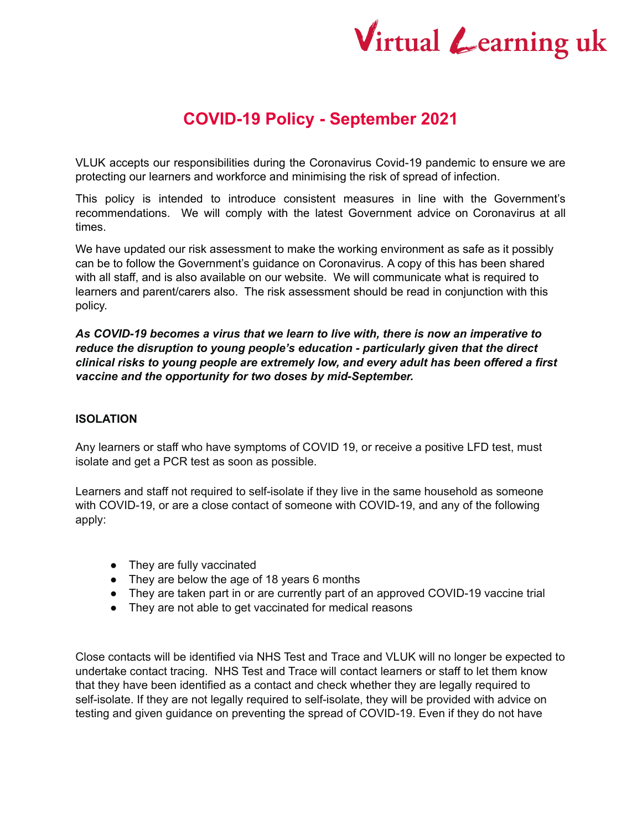# Virtual Learning uk

# **COVID-19 Policy - September 2021**

VLUK accepts our responsibilities during the Coronavirus Covid-19 pandemic to ensure we are protecting our learners and workforce and minimising the risk of spread of infection.

This policy is intended to introduce consistent measures in line with the Government's recommendations. We will comply with the latest Government advice on Coronavirus at all times.

We have updated our risk assessment to make the working environment as safe as it possibly can be to follow the Government's guidance on Coronavirus. A copy of this has been shared with all staff, and is also available on our website. We will communicate what is required to learners and parent/carers also. The risk assessment should be read in conjunction with this policy.

*As COVID-19 becomes a virus that we learn to live with, there is now an imperative to reduce the disruption to young people's education - particularly given that the direct clinical risks to young people are extremely low, and every adult has been offered a first vaccine and the opportunity for two doses by mid-September.*

# **ISOLATION**

Any learners or staff who have symptoms of COVID 19, or receive a positive LFD test, must isolate and get a PCR test as soon as possible.

Learners and staff not required to self-isolate if they live in the same household as someone with COVID-19, or are a close contact of someone with COVID-19, and any of the following apply:

- They are fully vaccinated
- They are below the age of 18 years 6 months
- They are taken part in or are currently part of an approved COVID-19 vaccine trial
- They are not able to get vaccinated for medical reasons

Close contacts will be identified via NHS Test and Trace and VLUK will no longer be expected to undertake contact tracing. NHS Test and Trace will contact learners or staff to let them know that they have been identified as a contact and check whether they are legally required to self-isolate. If they are not legally required to self-isolate, they will be provided with advice on testing and given guidance on preventing the spread of COVID-19. Even if they do not have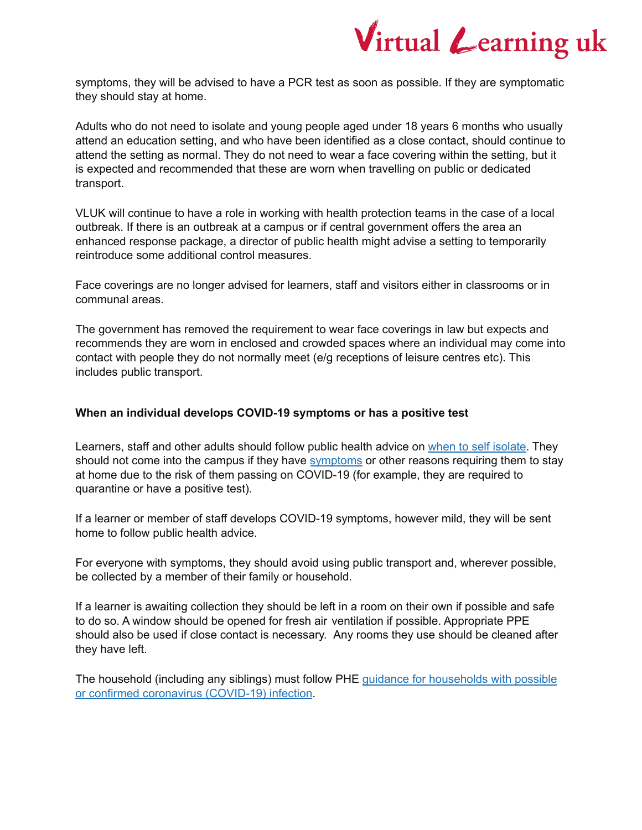

symptoms, they will be advised to have a PCR test as soon as possible. If they are symptomatic they should stay at home.

Adults who do not need to isolate and young people aged under 18 years 6 months who usually attend an education setting, and who have been identified as a close contact, should continue to attend the setting as normal. They do not need to wear a face covering within the setting, but it is expected and recommended that these are worn when travelling on public or dedicated transport.

VLUK will continue to have a role in working with health protection teams in the case of a local outbreak. If there is an outbreak at a campus or if central government offers the area an enhanced response package, a director of public health might advise a setting to temporarily reintroduce some additional control measures.

Face coverings are no longer advised for learners, staff and visitors either in classrooms or in communal areas.

The government has removed the requirement to wear face coverings in law but expects and recommends they are worn in enclosed and crowded spaces where an individual may come into contact with people they do not normally meet (e/g receptions of leisure centres etc). This includes public transport.

# **When an individual develops COVID-19 symptoms or has a positive test**

Learners, staff and other adults should follow public health advice on when to self [isolate.](https://www.nhs.uk/conditions/coronavirus-covid-19/self-isolation-and-treatment/when-to-self-isolate-and-what-to-do/) They should not come into the campus if they have [symptoms](https://www.nhs.uk/conditions/coronavirus-covid-19/symptoms/) or other reasons requiring them to stay at home due to the risk of them passing on COVID-19 (for example, they are required to quarantine or have a positive test).

If a learner or member of staff develops COVID-19 symptoms, however mild, they will be sent home to follow public health advice.

For everyone with symptoms, they should avoid using public transport and, wherever possible, be collected by a member of their family or household.

If a learner is awaiting collection they should be left in a room on their own if possible and safe to do so. A window should be opened for fresh air ventilation if possible. Appropriate PPE should also be used if close contact is necessary. Any rooms they use should be cleaned after they have left.

The household (including any siblings) must follow PHE guidance for [households](https://www.gov.uk/government/publications/covid-19-stay-at-home-guidance/stay-at-home-guidance-for-households-with-possible-coronavirus-covid-19-infection) with possible or confirmed coronavirus [\(COVID-19\)](https://www.gov.uk/government/publications/covid-19-stay-at-home-guidance/stay-at-home-guidance-for-households-with-possible-coronavirus-covid-19-infection) infection.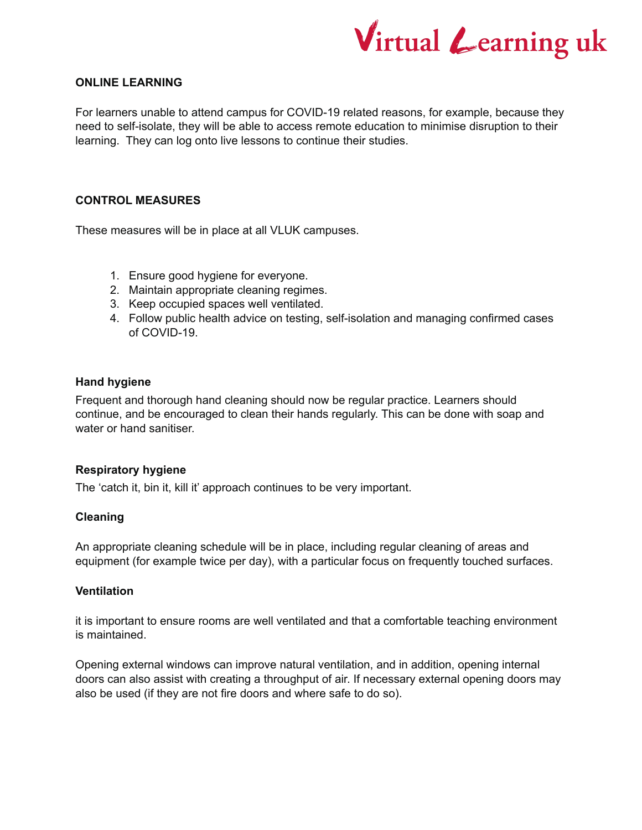

# **ONLINE LEARNING**

For learners unable to attend campus for COVID-19 related reasons, for example, because they need to self-isolate, they will be able to access remote education to minimise disruption to their learning. They can log onto live lessons to continue their studies.

# **CONTROL MEASURES**

These measures will be in place at all VLUK campuses.

- 1. Ensure good hygiene for everyone.
- 2. Maintain appropriate cleaning regimes.
- 3. Keep occupied spaces well ventilated.
- 4. Follow public health advice on testing, self-isolation and managing confirmed cases of COVID-19.

#### **Hand hygiene**

Frequent and thorough hand cleaning should now be regular practice. Learners should continue, and be encouraged to clean their hands regularly. This can be done with soap and water or hand sanitiser.

# **Respiratory hygiene**

The 'catch it, bin it, kill it' approach continues to be very important.

# **Cleaning**

An appropriate cleaning schedule will be in place, including regular cleaning of areas and equipment (for example twice per day), with a particular focus on frequently touched surfaces.

## **Ventilation**

it is important to ensure rooms are well ventilated and that a comfortable teaching environment is maintained.

Opening external windows can improve natural ventilation, and in addition, opening internal doors can also assist with creating a throughput of air. If necessary external opening doors may also be used (if they are not fire doors and where safe to do so).